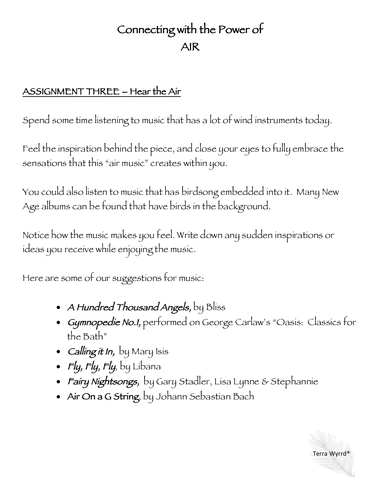## Connecting with the Power of AIR

## ASSIGNMENT THREE – Hear the Air

Spend some time listening to music that has a lot of wind instruments today.

Feel the inspiration behind the piece, and close your eyes to fully embrace the sensations that this "air music" creates within you.

You could also listen to music that has birdsong embedded into it. Many New Age albums can be found that have birds in the background.

Notice how the music makes you feel. Write down any sudden inspirations or ideas you receive while enjoying the music.

Here are some of our suggestions for music:

- A Hundred Thousand Angels, by Bliss
- Gymnopedie No.1, performed on George Carlaw's "Oasis: Classics for the Bath"
- Calling it In, by Mary Isis
- Fly, Fly, Fly, by Libana
- *Fairy Nightsongs,* by Gary Stadler, Lisa Lynne & Stephannie
- Air On a G String, by Johann Sebastian Bach